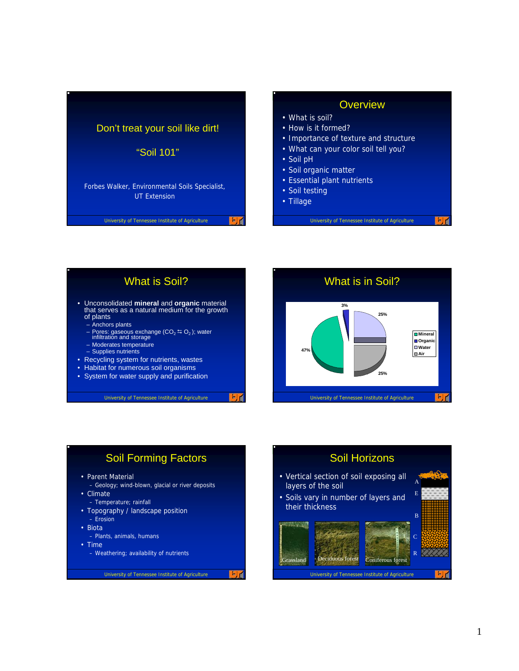

#### **Overview**

- What is soil?
- How is it formed?
- Importance of texture and structure
- What can your color soil tell you?
- Soil pH
- Soil organic matter
- Essential plant nutrients
- Soil testing
- Tillage

University of Tennessee Institute of Agriculture



ET

## Soil Forming Factors

- Parent Material
- Geology; wind-blown, glacial or river deposits
- Climate
	- Temperature; rainfall
- Topography / landscape position – Erosion
- Biota
	- Plants, animals, humans
- Time
	- Weathering; availability of nutrients

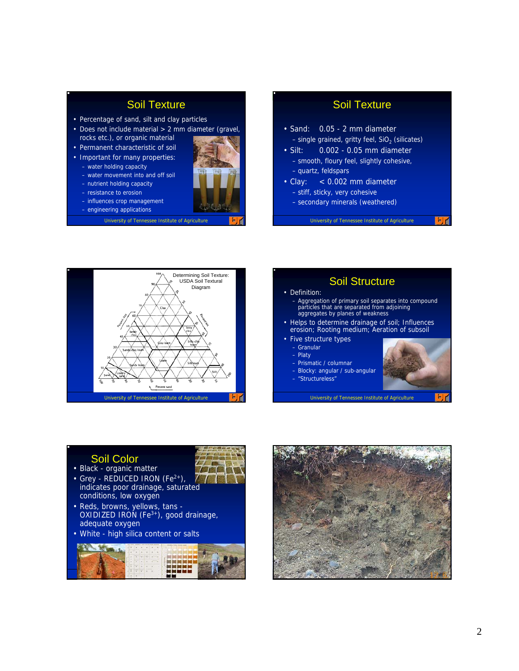# Soil Texture

- Percentage of sand, silt and clay particles
- Does not include material > 2 mm diameter (gravel, rocks etc.), or organic material
- Permanent characteristic of soil
- Important for many properties: – water holding capacity
	- water movement into and off soil
	- nutrient holding capacity
	- resistance to erosion
	- influences crop management
	- engineering applications
		- University of Tennessee Institute of Agriculture

## Soil Texture

- Sand: 0.05 2 mm diameter  $-$  single grained, gritty feel, SiO<sub>2</sub> (silicates)
- Silt: 0.002 0.05 mm diameter – smooth, floury feel, slightly cohesive, – quartz, feldspars
- Clay: < 0.002 mm diameter – stiff, sticky, very cohesive
	- secondary minerals (weathered)

University of Tennessee Institute of Agriculture





#### Soil Color

- Black organic matter
- Grey REDUCED IRON  $(Fe<sup>2+</sup>)$ , indicates poor drainage, saturated conditions, low oxygen
- Reds, browns, yellows, tans OXIDIZED IRON  $(Fe^{3+})$ , good drainage, adequate oxygen
- White high silica content or salts



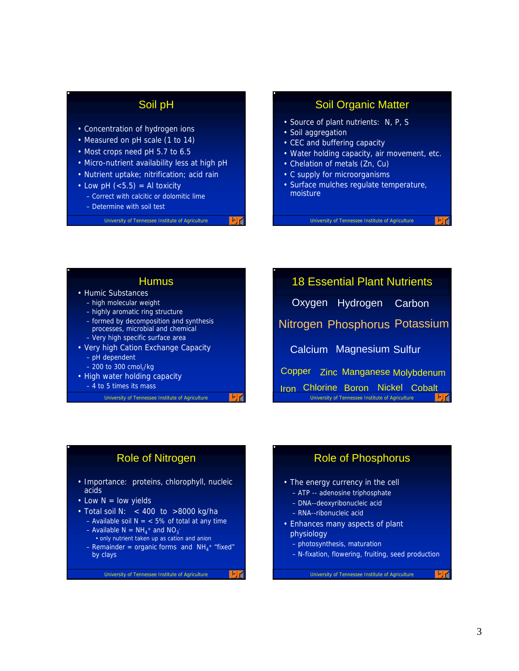## Soil pH

- Concentration of hydrogen ions
- Measured on pH scale (1 to 14)
- Most crops need pH 5.7 to 6.5
- Micro-nutrient availability less at high pH
- Nutrient uptake; nitrification; acid rain
- Low pH  $(<5.5)$  = Al toxicity
	- Correct with calcitic or dolomitic lime
	- Determine with soil test

University of Tennessee Institute of Agriculture

#### Soil Organic Matter

- Source of plant nutrients: N, P, S
- Soil aggregation
- CEC and buffering capacity
- Water holding capacity, air movement, etc.
- Chelation of metals (Zn, Cu)
- C supply for microorganisms
- Surface mulches regulate temperature, moisture

University of Tennessee Institute of Agriculture

#### **Humus**

- Humic Substances
	- high molecular weight
	- highly aromatic ring structure
	- formed by decomposition and synthesis processes, microbial and chemical – Very high specific surface area
- Very high Cation Exchange Capacity – pH dependent
	- $-200$  to 300 cmol $\alpha$ /kg
- High water holding capacity – 4 to 5 times its mass

University of Tennessee Institute of Agriculture

University of Tennessee Institute of Agriculture 18 Essential Plant Nutrients Hydrogen Carbon Nitrogen Phosphorus Potassium Calcium Magnesium Sulfur **Oxygen** Copper Zinc Manganese Molybdenum Iron Chlorine Boron Nickel Cobalt

#### Role of Nitrogen

- Importance: proteins, chlorophyll, nucleic acids
- Low  $N =$  low yields
- Total soil N: < 400 to >8000 kg/ha
	- Available soil  $N = < 5\%$  of total at any time - Available  $N = NH_4^+$  and  $NO_3^-$
	- only nutrient taken up as cation and anion
	- $-$  Remainder = organic forms and  $NH_4^+$  "fixed" by clays

 $F_1$ 

University of Tennessee Institute of Agriculture

#### Role of Phosphorus

- The energy currency in the cell
	- ATP -- adenosine triphosphate
	- DNA--deoxyribonucleic acid
	- RNA--ribonucleic acid
- Enhances many aspects of plant physiology
	- photosynthesis, maturation
	- N-fixation, flowering, fruiting, seed production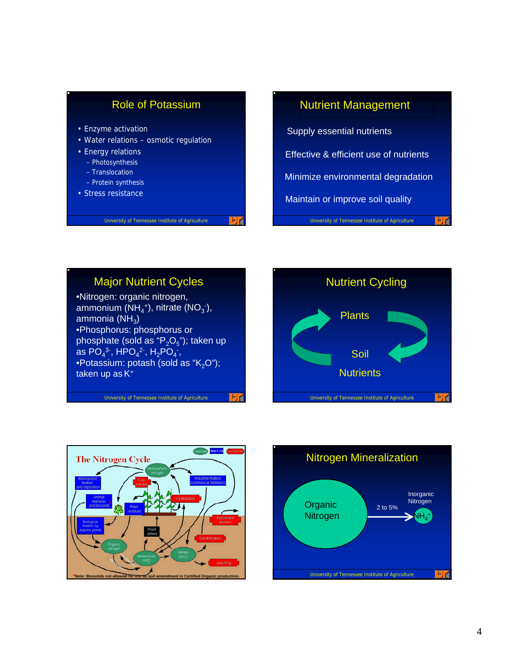

## Nutrient Management

University of Tennessee Institute of Agriculture Supply essential nutrients Effective & efficient use of nutrients Minimize environmental degradation Maintain or improve soil quality

# Major Nutrient Cycles

University of Tennessee Institute of Agriculture

•Nitrogen: organic nitrogen, ammonium (NH<sub>4</sub><sup>+</sup>), nitrate (NO<sub>3</sub><sup>-</sup>), ammonia  $(NH_3)$ •Phosphorus: phosphorus or phosphate (sold as " $P_2O_5$ "); taken up as PO<sub>4</sub><sup>3-</sup>, HPO<sub>4</sub><sup>2-</sup>, H<sub>2</sub>PO<sub>4</sub><sup>-</sup>, •Potassium: potash (sold as " $K<sub>2</sub>O$ "); taken up as K<sup>+</sup>





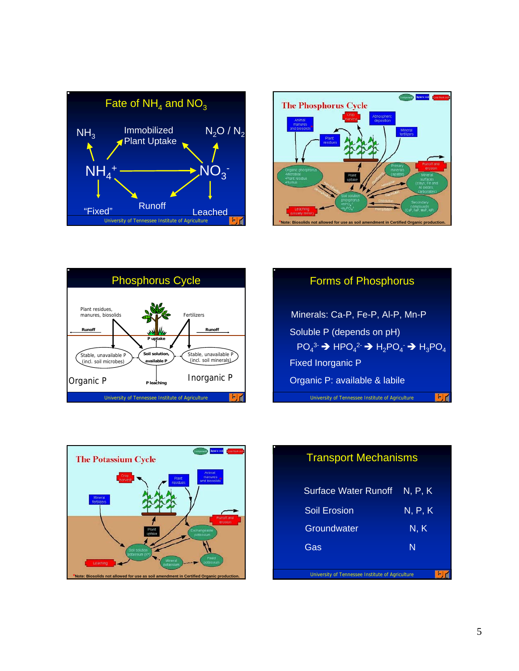





#### Forms of Phosphorus

Minerals: Ca-P, Fe-P, Al-P, Mn-P Soluble P (depends on pH)  $PO_4^3$   $\rightarrow$  HPO<sub>4</sub><sup>2</sup>  $\rightarrow$  H<sub>2</sub>PO<sub>4</sub>  $\rightarrow$  H<sub>3</sub>PO<sub>4</sub> Fixed Inorganic P Organic P: available & labile

University of Tennessee Institute of Agriculture





# Transport Mechanisms

| <b>Surface Water Runoff</b>                      | N, P, K |
|--------------------------------------------------|---------|
| Soil Erosion                                     | N, P, K |
| Groundwater                                      | N, K    |
| Gas                                              | N       |
| University of Tennessee Institute of Agriculture |         |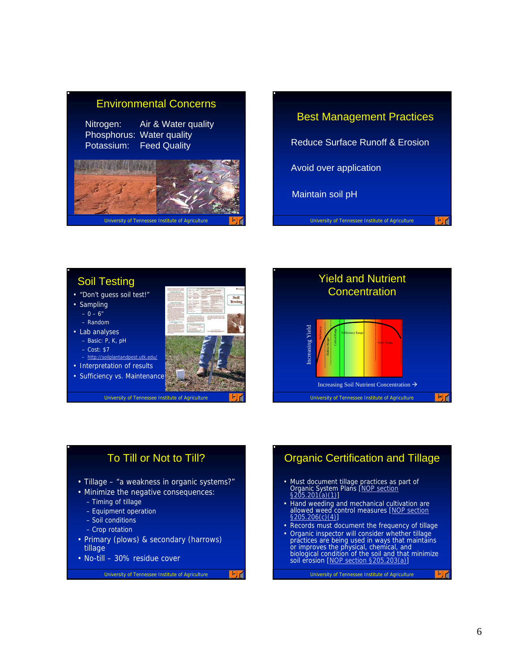## Environmental Concerns

Nitrogen: Air & Water quality Phosphorus: Water quality Potassium: Feed Quality



# University of Tennessee Institute of Agriculture Reduce Surface Runoff & Erosion Avoid over application Maintain soil pH Best Management Practices

#### Soil Testing

- "Don't guess soil test!"
- Sampling
	- $0 6''$
	- Random
- Lab analyses
	- Basic: P, K, pH
	- Cost: \$7
	- http://soilplantandpest.utk.edu/
- Interpretation of results
- Sufficiency vs. Maintenance



University of Tennessee Institute of Agriculture



## To Till or Not to Till?

- Tillage "a weakness in organic systems?"
- Minimize the negative consequences:
	- Timing of tillage
	- Equipment operation
	- Soil conditions
	- Crop rotation
- Primary (plows) & secondary (harrows) tillage
- No-till 30% residue cover

University of Tennessee Institute of Agriculture

国道

## Organic Certification and Tillage

- Must document tillage practices as part of<br>Organic System Plans <u>[NOP section</u><br>§205.201(a)(1)]
- Hand weeding and mechanical cultivation are<br>allowed weed control measures [NOP section §205.206(c)(4)]
- Records must document the frequency of tillage
- Organic inspector will consider whether tillage practices are being used in ways that maintains<br>or improves the physical, chemical, and<br>biological condition of the soil and that minimize<br>soil erosion <u>[NOP section §205.203(a)]</u>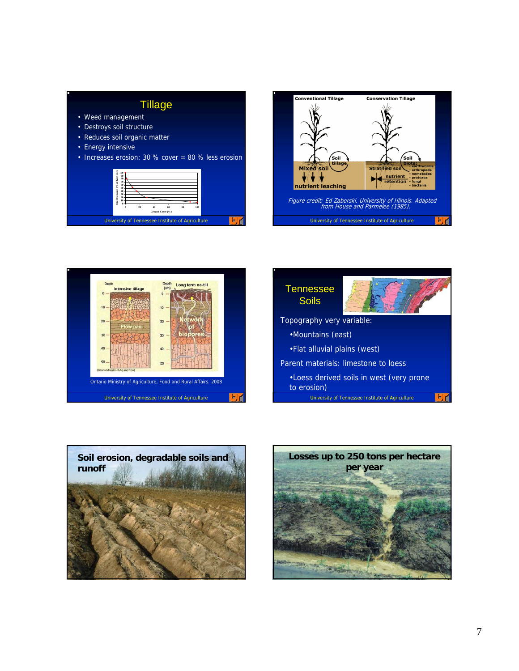

- Weed management
- Destroys soil structure
- Reduces soil organic matter
- Energy intensive
- Increases erosion: 30 % cover = 80 % less erosion











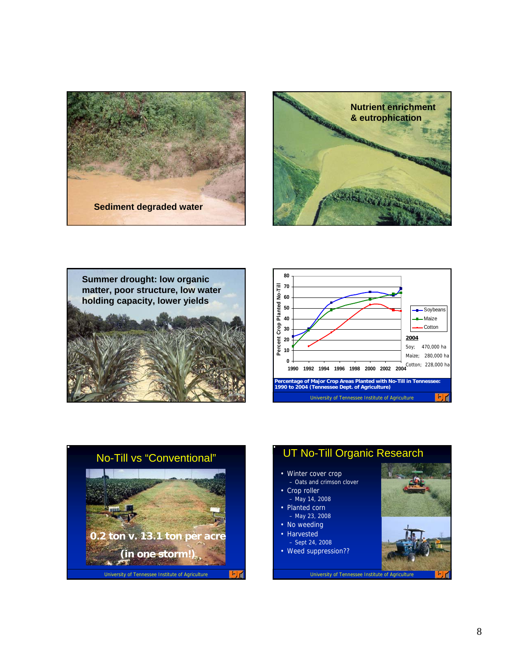









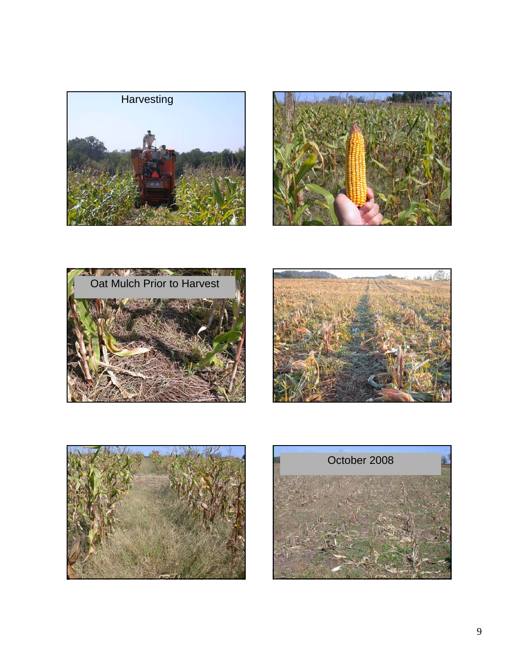